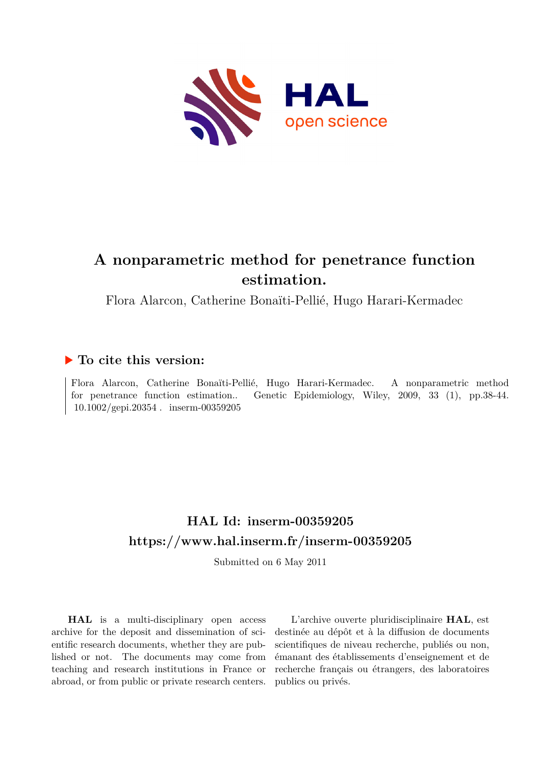

# **A nonparametric method for penetrance function estimation.**

Flora Alarcon, Catherine Bonaïti-Pellié, Hugo Harari-Kermadec

### **To cite this version:**

Flora Alarcon, Catherine Bonaïti-Pellié, Hugo Harari-Kermadec. A nonparametric method for penetrance function estimation.. Genetic Epidemiology, Wiley, 2009, 33 (1), pp.38-44.  $10.1002/\text{gepi}.20354$ . inserm-00359205

## **HAL Id: inserm-00359205 <https://www.hal.inserm.fr/inserm-00359205>**

Submitted on 6 May 2011

**HAL** is a multi-disciplinary open access archive for the deposit and dissemination of scientific research documents, whether they are published or not. The documents may come from teaching and research institutions in France or abroad, or from public or private research centers.

L'archive ouverte pluridisciplinaire **HAL**, est destinée au dépôt et à la diffusion de documents scientifiques de niveau recherche, publiés ou non, émanant des établissements d'enseignement et de recherche français ou étrangers, des laboratoires publics ou privés.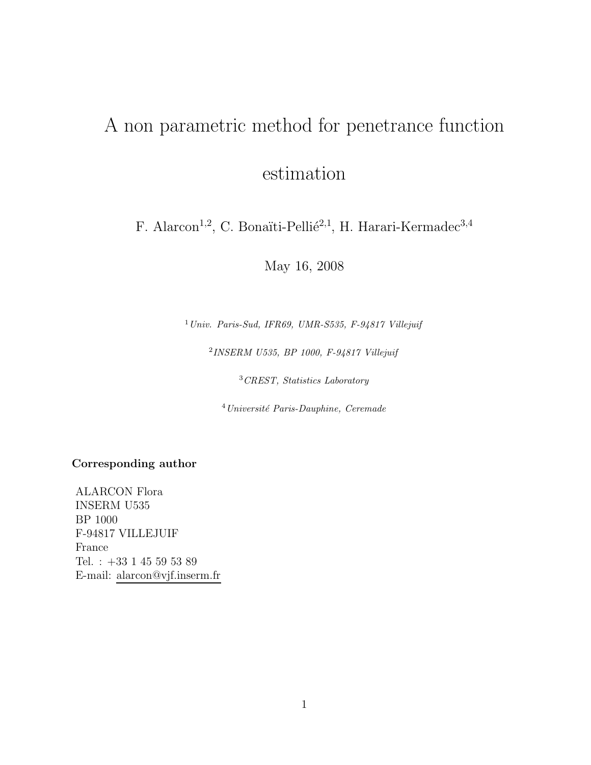# A non parametric method for penetrance function estimation

F. Alarcon<sup>1,2</sup>, C. Bonaïti-Pellié<sup>2,1</sup>, H. Harari-Kermadec<sup>3,4</sup>

May 16, 2008

<sup>1</sup>*Univ. Paris-Sud, IFR69, UMR-S535, F-94817 Villejuif*

<sup>2</sup>*INSERM U535, BP 1000, F-94817 Villejuif*

<sup>3</sup>*CREST, Statistics Laboratory*

<sup>4</sup>*Universit´e Paris-Dauphine, Ceremade*

**Corresponding author**

ALARCON Flora INSERM U535 BP 1000 F-94817 VILLEJUIF France Tel. :  $+33$  1 45 59 53 89  $\,$ E-mail: alarcon@vjf.inserm.fr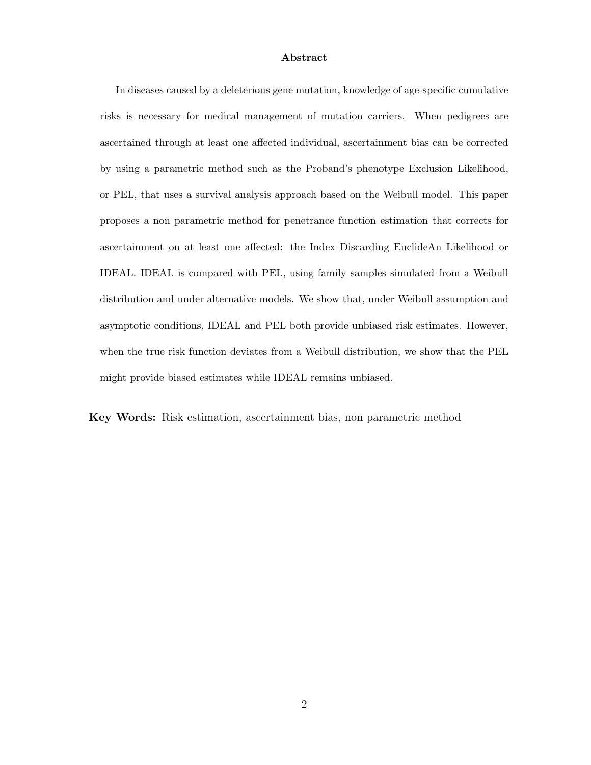#### **Abstract**

In diseases caused by a deleterious gene mutation, knowledge of age-specific cumulative risks is necessary for medical management of mutation carriers. When pedigrees are ascertained through at least one affected individual, ascertainment bias can be corrected by using a parametric method such as the Proband's phenotype Exclusion Likelihood, or PEL, that uses a survival analysis approach based on the Weibull model. This paper proposes a non parametric method for penetrance function estimation that corrects for ascertainment on at least one affected: the Index Discarding EuclideAn Likelihood or IDEAL. IDEAL is compared with PEL, using family samples simulated from a Weibull distribution and under alternative models. We show that, under Weibull assumption and asymptotic conditions, IDEAL and PEL both provide unbiased risk estimates. However, when the true risk function deviates from a Weibull distribution, we show that the PEL might provide biased estimates while IDEAL remains unbiased.

**Key Words:** Risk estimation, ascertainment bias, non parametric method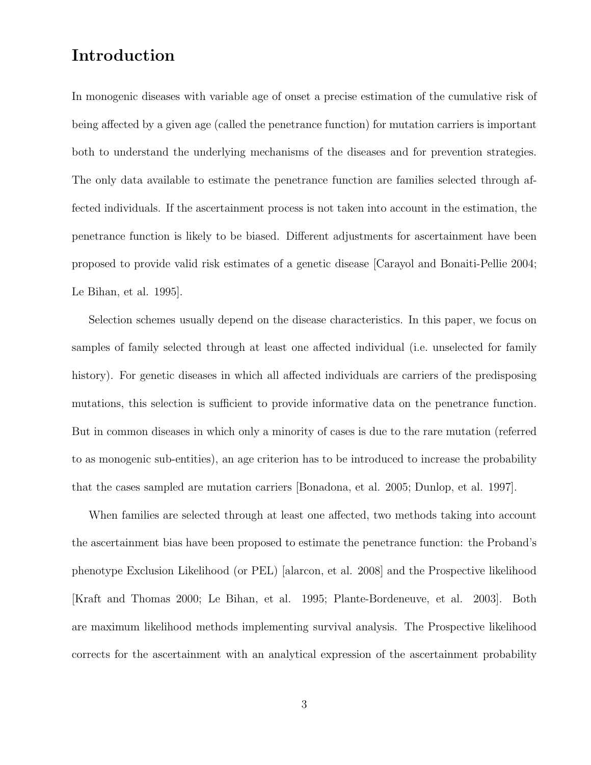### **Introduction**

In monogenic diseases with variable age of onset a precise estimation of the cumulative risk of being affected by a given age (called the penetrance function) for mutation carriers is important both to understand the underlying mechanisms of the diseases and for prevention strategies. The only data available to estimate the penetrance function are families selected through affected individuals. If the ascertainment process is not taken into account in the estimation, the penetrance function is likely to be biased. Different adjustments for ascertainment have been proposed to provide valid risk estimates of a genetic disease [Carayol and Bonaiti-Pellie 2004; Le Bihan, et al. 1995].

Selection schemes usually depend on the disease characteristics. In this paper, we focus on samples of family selected through at least one affected individual (i.e. unselected for family history). For genetic diseases in which all affected individuals are carriers of the predisposing mutations, this selection is sufficient to provide informative data on the penetrance function. But in common diseases in which only a minority of cases is due to the rare mutation (referred to as monogenic sub-entities), an age criterion has to be introduced to increase the probability that the cases sampled are mutation carriers [Bonadona, et al. 2005; Dunlop, et al. 1997].

When families are selected through at least one affected, two methods taking into account the ascertainment bias have been proposed to estimate the penetrance function: the Proband's phenotype Exclusion Likelihood (or PEL) [alarcon, et al. 2008] and the Prospective likelihood [Kraft and Thomas 2000; Le Bihan, et al. 1995; Plante-Bordeneuve, et al. 2003]. Both are maximum likelihood methods implementing survival analysis. The Prospective likelihood corrects for the ascertainment with an analytical expression of the ascertainment probability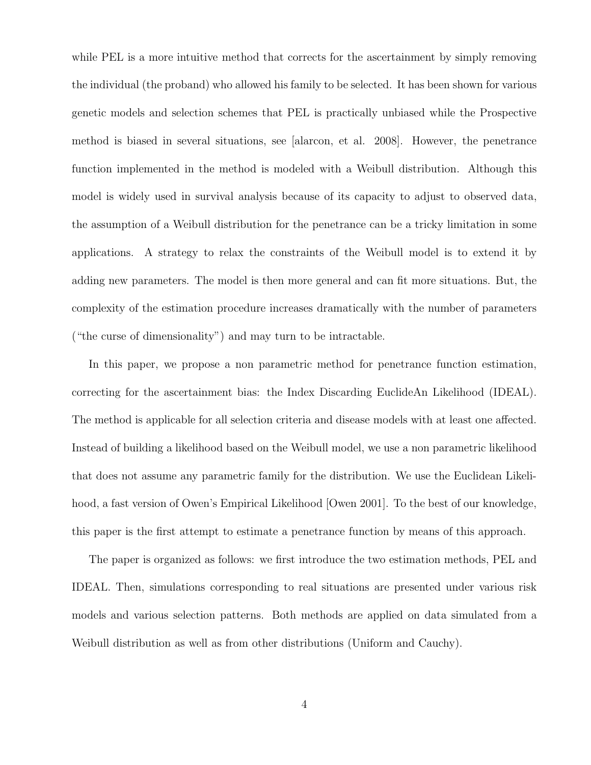while PEL is a more intuitive method that corrects for the ascertainment by simply removing the individual (the proband) who allowed his family to be selected. It has been shown for various genetic models and selection schemes that PEL is practically unbiased while the Prospective method is biased in several situations, see [alarcon, et al. 2008]. However, the penetrance function implemented in the method is modeled with a Weibull distribution. Although this model is widely used in survival analysis because of its capacity to adjust to observed data, the assumption of a Weibull distribution for the penetrance can be a tricky limitation in some applications. A strategy to relax the constraints of the Weibull model is to extend it by adding new parameters. The model is then more general and can fit more situations. But, the complexity of the estimation procedure increases dramatically with the number of parameters ("the curse of dimensionality") and may turn to be intractable.

In this paper, we propose a non parametric method for penetrance function estimation, correcting for the ascertainment bias: the Index Discarding EuclideAn Likelihood (IDEAL). The method is applicable for all selection criteria and disease models with at least one affected. Instead of building a likelihood based on the Weibull model, we use a non parametric likelihood that does not assume any parametric family for the distribution. We use the Euclidean Likelihood, a fast version of Owen's Empirical Likelihood [Owen 2001]. To the best of our knowledge, this paper is the first attempt to estimate a penetrance function by means of this approach.

The paper is organized as follows: we first introduce the two estimation methods, PEL and IDEAL. Then, simulations corresponding to real situations are presented under various risk models and various selection patterns. Both methods are applied on data simulated from a Weibull distribution as well as from other distributions (Uniform and Cauchy).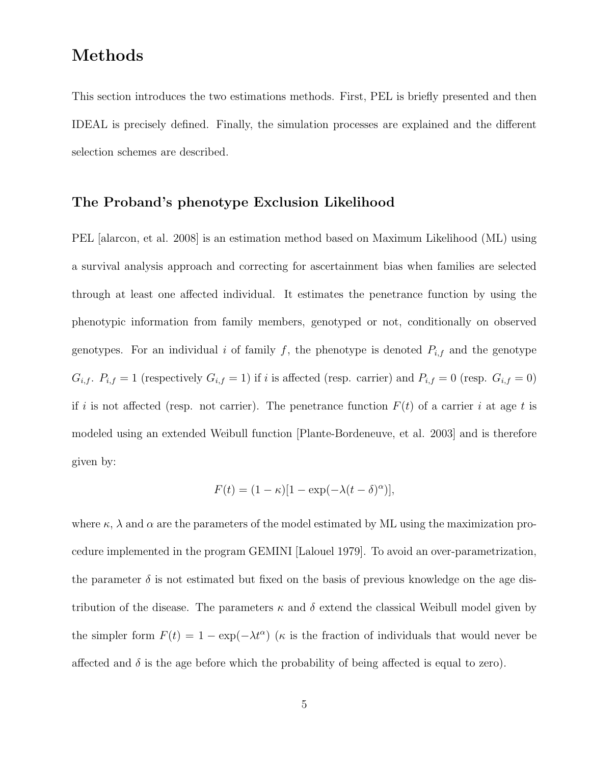### **Methods**

This section introduces the two estimations methods. First, PEL is briefly presented and then IDEAL is precisely defined. Finally, the simulation processes are explained and the different selection schemes are described.

#### **The Proband's phenotype Exclusion Likelihood**

PEL [alarcon, et al. 2008] is an estimation method based on Maximum Likelihood (ML) using a survival analysis approach and correcting for ascertainment bias when families are selected through at least one affected individual. It estimates the penetrance function by using the phenotypic information from family members, genotyped or not, conditionally on observed genotypes. For an individual i of family f, the phenotype is denoted  $P_{i,f}$  and the genotype  $G_{i,f}$ .  $P_{i,f} = 1$  (respectively  $G_{i,f} = 1$ ) if i is affected (resp. carrier) and  $P_{i,f} = 0$  (resp.  $G_{i,f} = 0$ ) if i is not affected (resp. not carrier). The penetrance function  $F(t)$  of a carrier i at age t is modeled using an extended Weibull function [Plante-Bordeneuve, et al. 2003] and is therefore given by:

$$
F(t) = (1 - \kappa)[1 - \exp(-\lambda(t - \delta)^{\alpha})],
$$

where  $\kappa$ ,  $\lambda$  and  $\alpha$  are the parameters of the model estimated by ML using the maximization procedure implemented in the program GEMINI [Lalouel 1979]. To avoid an over-parametrization, the parameter  $\delta$  is not estimated but fixed on the basis of previous knowledge on the age distribution of the disease. The parameters  $\kappa$  and  $\delta$  extend the classical Weibull model given by the simpler form  $F(t)=1 - \exp(-\lambda t^{\alpha})$  ( $\kappa$  is the fraction of individuals that would never be affected and  $\delta$  is the age before which the probability of being affected is equal to zero).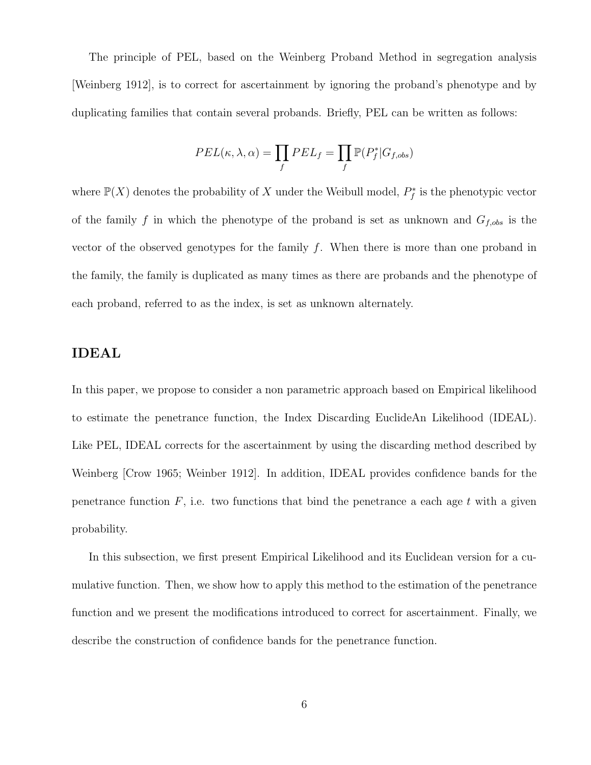The principle of PEL, based on the Weinberg Proband Method in segregation analysis [Weinberg 1912], is to correct for ascertainment by ignoring the proband's phenotype and by duplicating families that contain several probands. Briefly, PEL can be written as follows:

$$
PEL(\kappa, \lambda, \alpha) = \prod_{f} PEL_f = \prod_{f} \mathbb{P}(P_f^* | G_{f,obs})
$$

where  $\mathbb{P}(X)$  denotes the probability of X under the Weibull model,  $P_f^*$  is the phenotypic vector of the family f in which the phenotype of the proband is set as unknown and  $G_{f,obs}$  is the vector of the observed genotypes for the family  $f$ . When there is more than one proband in the family, the family is duplicated as many times as there are probands and the phenotype of each proband, referred to as the index, is set as unknown alternately.

### **IDEAL**

In this paper, we propose to consider a non parametric approach based on Empirical likelihood to estimate the penetrance function, the Index Discarding EuclideAn Likelihood (IDEAL). Like PEL, IDEAL corrects for the ascertainment by using the discarding method described by Weinberg [Crow 1965; Weinber 1912]. In addition, IDEAL provides confidence bands for the penetrance function  $F$ , i.e. two functions that bind the penetrance a each age  $t$  with a given probability.

In this subsection, we first present Empirical Likelihood and its Euclidean version for a cumulative function. Then, we show how to apply this method to the estimation of the penetrance function and we present the modifications introduced to correct for ascertainment. Finally, we describe the construction of confidence bands for the penetrance function.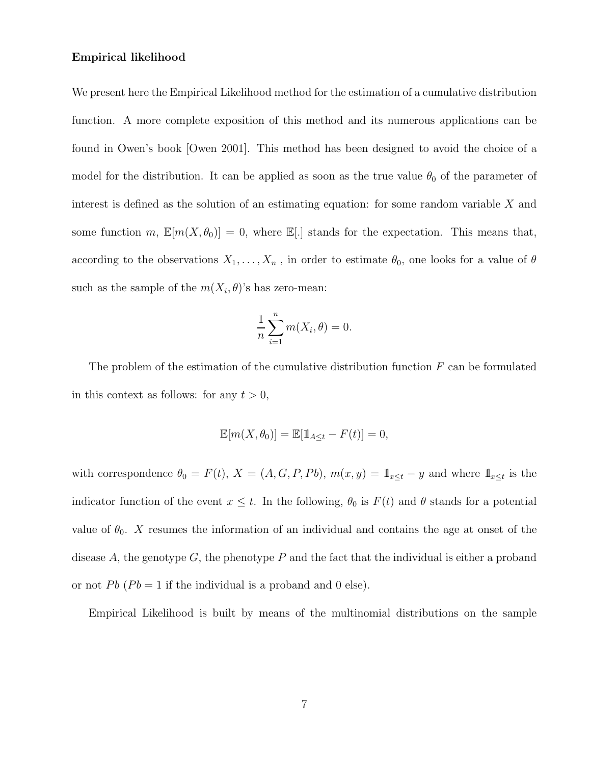#### **Empirical likelihood**

We present here the Empirical Likelihood method for the estimation of a cumulative distribution function. A more complete exposition of this method and its numerous applications can be found in Owen's book [Owen 2001]. This method has been designed to avoid the choice of a model for the distribution. It can be applied as soon as the true value  $\theta_0$  of the parameter of interest is defined as the solution of an estimating equation: for some random variable X and some function m,  $\mathbb{E}[m(X, \theta_0)] = 0$ , where  $\mathbb{E}[.]$  stands for the expectation. This means that, according to the observations  $X_1, \ldots, X_n$ , in order to estimate  $\theta_0$ , one looks for a value of  $\theta$ such as the sample of the  $m(X_i, \theta)$ 's has zero-mean:

$$
\frac{1}{n}\sum_{i=1}^{n}m(X_i,\theta)=0.
$$

The problem of the estimation of the cumulative distribution function  $F$  can be formulated in this context as follows: for any  $t > 0$ ,

$$
\mathbb{E}[m(X,\theta_0)] = \mathbb{E}[\mathbb{1}_{A \le t} - F(t)] = 0,
$$

with correspondence  $\theta_0 = F(t)$ ,  $X = (A, G, P, Pb)$ ,  $m(x, y) = \mathbb{1}_{x \le t} - y$  and where  $\mathbb{1}_{x \le t}$  is the indicator function of the event  $x \leq t$ . In the following,  $\theta_0$  is  $F(t)$  and  $\theta$  stands for a potential value of  $\theta_0$ . X resumes the information of an individual and contains the age at onset of the disease  $A$ , the genotype  $G$ , the phenotype  $P$  and the fact that the individual is either a proband or not Pb  $(Pb = 1$  if the individual is a proband and 0 else).

Empirical Likelihood is built by means of the multinomial distributions on the sample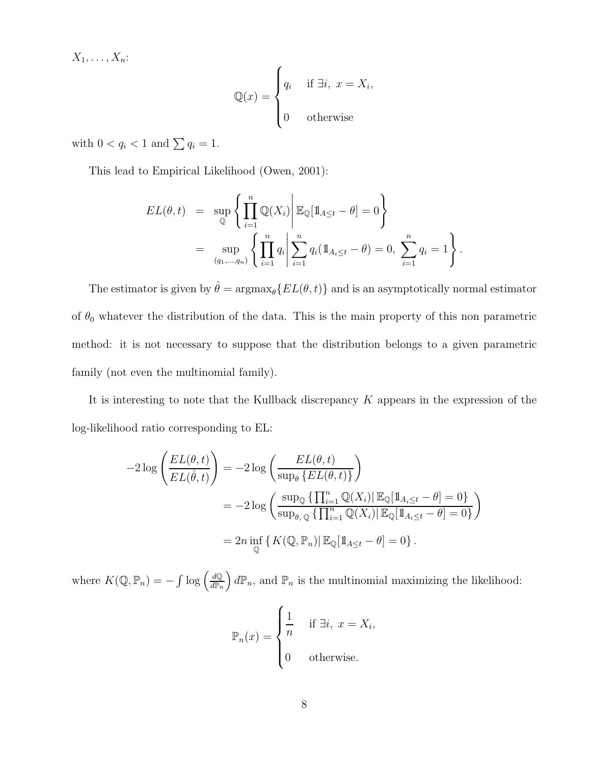$X_1,\ldots,X_n$ :

$$
\mathbb{Q}(x) = \begin{cases} q_i & \text{if } \exists i, \ x = X_i, \\ 0 & \text{otherwise} \end{cases}
$$

with  $0 < q_i < 1$  and  $\sum q_i = 1$ .

This lead to Empirical Likelihood (Owen, 2001):

$$
EL(\theta, t) = \sup_{\mathbb{Q}} \left\{ \prod_{i=1}^{n} \mathbb{Q}(X_i) \middle| \mathbb{E}_{\mathbb{Q}}[\mathbb{1}_{A \le t} - \theta] = 0 \right\}
$$
  
= 
$$
\sup_{(q_1, ..., q_n)} \left\{ \prod_{i=1}^{n} q_i \middle| \sum_{i=1}^{n} q_i (\mathbb{1}_{A_i \le t} - \theta) = 0, \sum_{i=1}^{n} q_i = 1 \right\}.
$$

The estimator is given by  $\hat{\theta} = \argmax_{\theta} \{ EL(\theta, t) \}$  and is an asymptotically normal estimator of  $\theta_0$  whatever the distribution of the data. This is the main property of this non parametric method: it is not necessary to suppose that the distribution belongs to a given parametric family (not even the multinomial family).

It is interesting to note that the Kullback discrepancy K appears in the expression of the log-likelihood ratio corresponding to EL:

$$
-2\log\left(\frac{EL(\theta,t)}{EL(\hat{\theta},t)}\right) = -2\log\left(\frac{EL(\theta,t)}{\sup_{\theta}\left\{EL(\theta,t)\right\}}\right)
$$

$$
= -2\log\left(\frac{\sup_{\mathbb{Q}}\left\{\prod_{i=1}^{n}\mathbb{Q}(X_{i})\right\}\mathbb{E}_{\mathbb{Q}}[\mathbb{1}_{A_{i}\leq t}-\theta]=0\right\}}{\sup_{\mathbb{Q}}\left\{\frac{\sup_{\mathbb{Q}}\left\{\prod_{i=1}^{n}\mathbb{Q}(X_{i})\right\}\mathbb{E}_{\mathbb{Q}}[\mathbb{1}_{A_{i}\leq t}-\theta]=0\right\}}{2n\inf_{\mathbb{Q}}\left\{K(\mathbb{Q},\mathbb{P}_{n})\right\}\mathbb{E}_{\mathbb{Q}}[\mathbb{1}_{A\leq t}-\theta]=0\right\}}.
$$

where  $K(\mathbb{Q}, \mathbb{P}_n) = -\int \log \left( \frac{d\mathbb{Q}}{d\mathbb{P}_n} \right)$  $\Big\{ d\mathbb{P}_n,$  and  $\mathbb{P}_n$  is the multinomial maximizing the likelihood:

$$
\mathbb{P}_n(x) = \begin{cases} \frac{1}{n} & \text{if } \exists i, \ x = X_i, \\ 0 & \text{otherwise.} \end{cases}
$$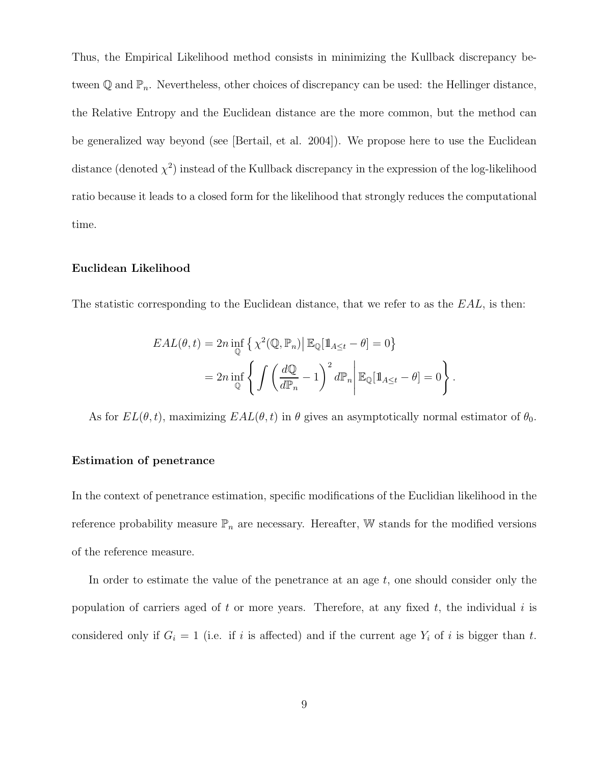Thus, the Empirical Likelihood method consists in minimizing the Kullback discrepancy between  $\mathbb Q$  and  $\mathbb P_n$ . Nevertheless, other choices of discrepancy can be used: the Hellinger distance, the Relative Entropy and the Euclidean distance are the more common, but the method can be generalized way beyond (see [Bertail, et al. 2004]). We propose here to use the Euclidean distance (denoted  $\chi^2$ ) instead of the Kullback discrepancy in the expression of the log-likelihood ratio because it leads to a closed form for the likelihood that strongly reduces the computational time.

#### **Euclidean Likelihood**

The statistic corresponding to the Euclidean distance, that we refer to as the  $EAL$ , is then:

$$
EAL(\theta, t) = 2n \inf_{\mathbb{Q}} \left\{ \chi^2(\mathbb{Q}, \mathbb{P}_n) \middle| \mathbb{E}_{\mathbb{Q}}[\mathbb{1}_{A \le t} - \theta] = 0 \right\}
$$
  
=  $2n \inf_{\mathbb{Q}} \left\{ \int \left( \frac{d\mathbb{Q}}{d\mathbb{P}_n} - 1 \right)^2 d\mathbb{P}_n \middle| \mathbb{E}_{\mathbb{Q}}[\mathbb{1}_{A \le t} - \theta] = 0 \right\}.$ 

As for  $EL(\theta, t)$ , maximizing  $EAL(\theta, t)$  in  $\theta$  gives an asymptotically normal estimator of  $\theta_0$ .

#### **Estimation of penetrance**

In the context of penetrance estimation, specific modifications of the Euclidian likelihood in the reference probability measure  $\mathbb{P}_n$  are necessary. Hereafter,  $\mathbb W$  stands for the modified versions of the reference measure.

In order to estimate the value of the penetrance at an age  $t$ , one should consider only the population of carriers aged of t or more years. Therefore, at any fixed  $t$ , the individual i is considered only if  $G_i = 1$  (i.e. if i is affected) and if the current age  $Y_i$  of i is bigger than t.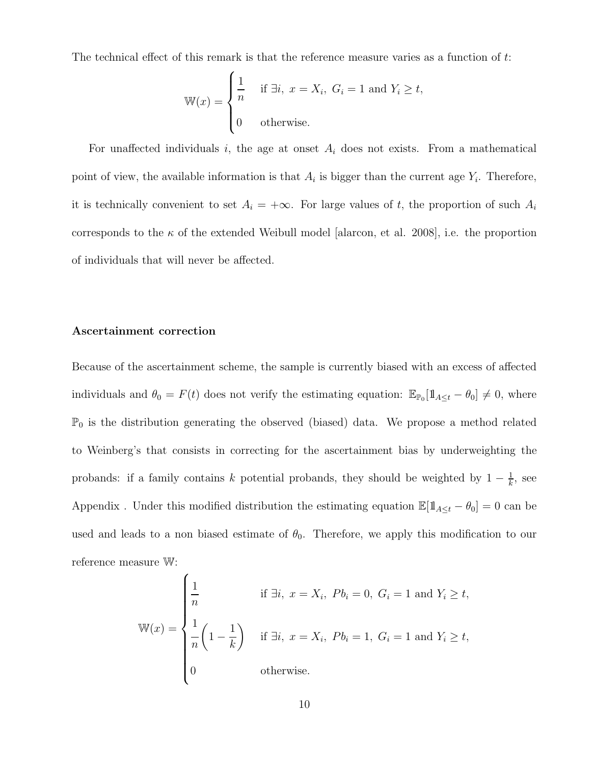The technical effect of this remark is that the reference measure varies as a function of t:

$$
\mathbb{W}(x) = \begin{cases} \frac{1}{n} & \text{if } \exists i, \ x = X_i, \ G_i = 1 \text{ and } Y_i \ge t, \\ 0 & \text{otherwise.} \end{cases}
$$

For unaffected individuals i, the age at onset  $A_i$  does not exists. From a mathematical point of view, the available information is that  $A_i$  is bigger than the current age  $Y_i$ . Therefore, it is technically convenient to set  $A_i = +\infty$ . For large values of t, the proportion of such  $A_i$ corresponds to the  $\kappa$  of the extended Weibull model [alarcon, et al. 2008], i.e. the proportion of individuals that will never be affected.

#### **Ascertainment correction**

Because of the ascertainment scheme, the sample is currently biased with an excess of affected individuals and  $\theta_0 = F(t)$  does not verify the estimating equation:  $\mathbb{E}_{\mathbb{P}_0}[\mathbb{1}_{A \leq t} - \theta_0] \neq 0$ , where  $\mathbb{P}_0$  is the distribution generating the observed (biased) data. We propose a method related to Weinberg's that consists in correcting for the ascertainment bias by underweighting the probands: if a family contains k potential probands, they should be weighted by  $1 - \frac{1}{k}$ , see Appendix . Under this modified distribution the estimating equation  $\mathbb{E}[\mathbb{1}_{A\leq t} - \theta_0] = 0$  can be used and leads to a non biased estimate of  $\theta_0$ . Therefore, we apply this modification to our reference measure W:

$$
\mathbb{W}(x) = \begin{cases} \frac{1}{n} & \text{if } \exists i, \ x = X_i, \ Pb_i = 0, \ G_i = 1 \text{ and } Y_i \ge t, \\ \frac{1}{n} \left( 1 - \frac{1}{k} \right) & \text{if } \exists i, \ x = X_i, \ Pb_i = 1, \ G_i = 1 \text{ and } Y_i \ge t, \\ 0 & \text{otherwise.} \end{cases}
$$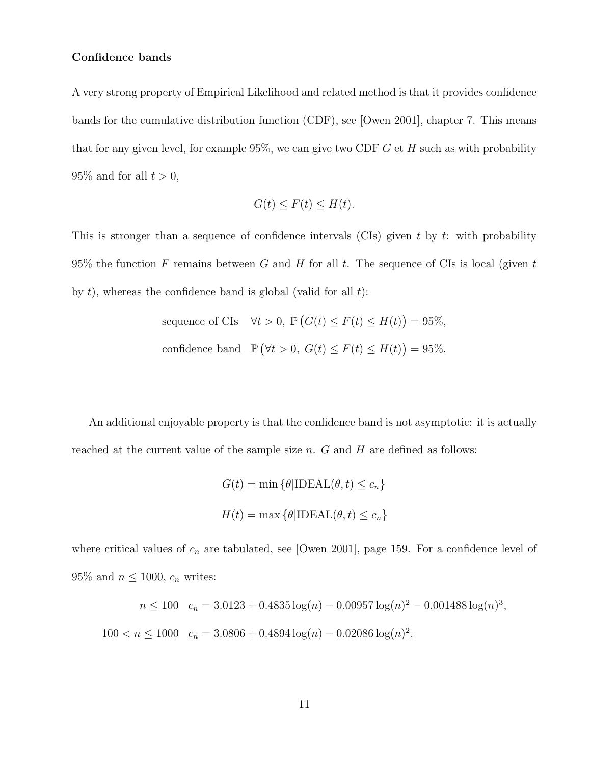#### **Confidence bands**

A very strong property of Empirical Likelihood and related method is that it provides confidence bands for the cumulative distribution function (CDF), see [Owen 2001], chapter 7. This means that for any given level, for example  $95\%$ , we can give two CDF G et H such as with probability  $95\%$  and for all  $t > 0$ ,

$$
G(t) \le F(t) \le H(t).
$$

This is stronger than a sequence of confidence intervals (CIs) given  $t$  by  $t$ : with probability 95% the function F remains between G and H for all t. The sequence of CIs is local (given t by  $t$ ), whereas the confidence band is global (valid for all  $t$ ):

sequence of CIs 
$$
\forall t > 0
$$
,  $\mathbb{P}(G(t) \le F(t) \le H(t)) = 95\%,$   
confidence band  $\mathbb{P}(\forall t > 0, G(t) \le F(t) \le H(t)) = 95\%.$ 

An additional enjoyable property is that the confidence band is not asymptotic: it is actually reached at the current value of the sample size  $n$ .  $G$  and  $H$  are defined as follows:

$$
G(t) = \min \{ \theta | \text{IDEAL}(\theta, t) \le c_n \}
$$

$$
H(t) = \max \{ \theta | \text{IDEAL}(\theta, t) \le c_n \}
$$

where critical values of  $c_n$  are tabulated, see [Owen 2001], page 159. For a confidence level of 95% and  $n \leq 1000$ ,  $c_n$  writes:

$$
n \le 100 \quad c_n = 3.0123 + 0.4835 \log(n) - 0.00957 \log(n)^2 - 0.001488 \log(n)^3,
$$
  

$$
100 < n \le 1000 \quad c_n = 3.0806 + 0.4894 \log(n) - 0.02086 \log(n)^2.
$$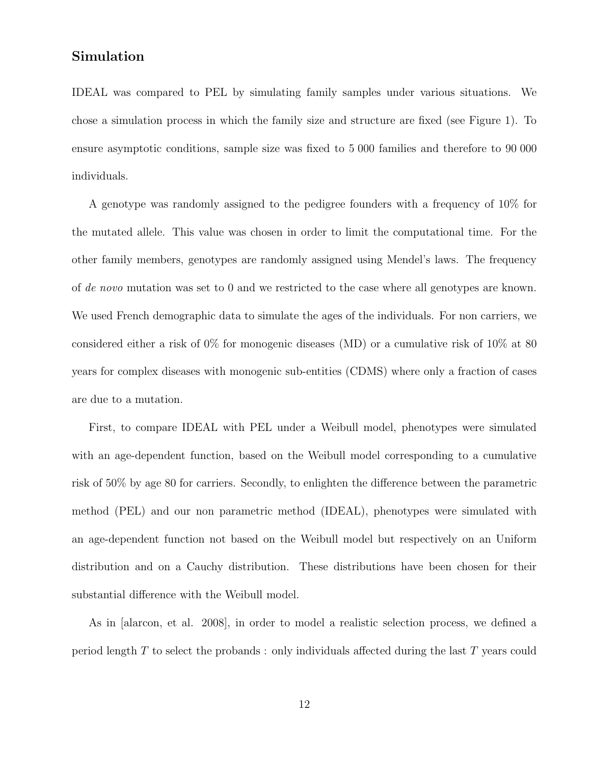### **Simulation**

IDEAL was compared to PEL by simulating family samples under various situations. We chose a simulation process in which the family size and structure are fixed (see Figure 1). To ensure asymptotic conditions, sample size was fixed to 5 000 families and therefore to 90 000 individuals.

A genotype was randomly assigned to the pedigree founders with a frequency of 10% for the mutated allele. This value was chosen in order to limit the computational time. For the other family members, genotypes are randomly assigned using Mendel's laws. The frequency of *de novo* mutation was set to 0 and we restricted to the case where all genotypes are known. We used French demographic data to simulate the ages of the individuals. For non carriers, we considered either a risk of 0% for monogenic diseases (MD) or a cumulative risk of 10% at 80 years for complex diseases with monogenic sub-entities (CDMS) where only a fraction of cases are due to a mutation.

First, to compare IDEAL with PEL under a Weibull model, phenotypes were simulated with an age-dependent function, based on the Weibull model corresponding to a cumulative risk of 50% by age 80 for carriers. Secondly, to enlighten the difference between the parametric method (PEL) and our non parametric method (IDEAL), phenotypes were simulated with an age-dependent function not based on the Weibull model but respectively on an Uniform distribution and on a Cauchy distribution. These distributions have been chosen for their substantial difference with the Weibull model.

As in [alarcon, et al. 2008], in order to model a realistic selection process, we defined a period length T to select the probands : only individuals affected during the last T years could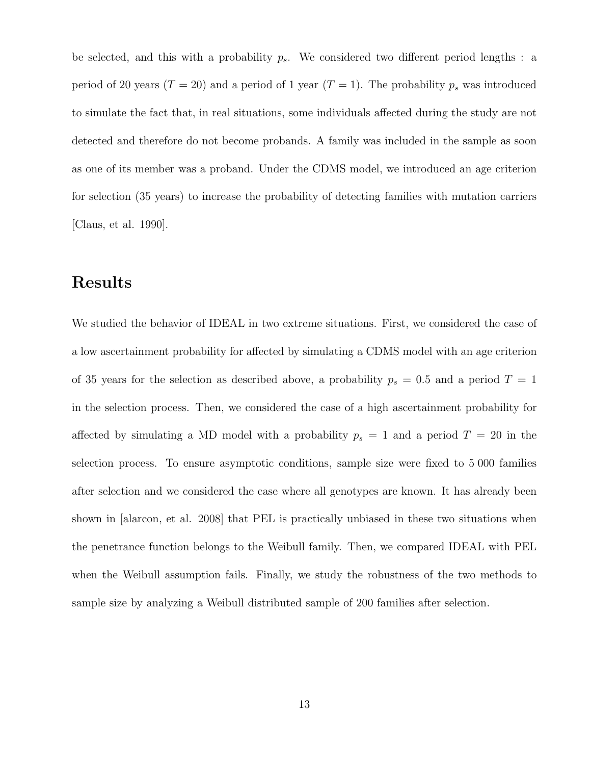be selected, and this with a probability  $p_s$ . We considered two different period lengths : a period of 20 years ( $T = 20$ ) and a period of 1 year ( $T = 1$ ). The probability  $p_s$  was introduced to simulate the fact that, in real situations, some individuals affected during the study are not detected and therefore do not become probands. A family was included in the sample as soon as one of its member was a proband. Under the CDMS model, we introduced an age criterion for selection (35 years) to increase the probability of detecting families with mutation carriers [Claus, et al. 1990].

### **Results**

We studied the behavior of IDEAL in two extreme situations. First, we considered the case of a low ascertainment probability for affected by simulating a CDMS model with an age criterion of 35 years for the selection as described above, a probability  $p_s = 0.5$  and a period  $T = 1$ in the selection process. Then, we considered the case of a high ascertainment probability for affected by simulating a MD model with a probability  $p_s = 1$  and a period  $T = 20$  in the selection process. To ensure asymptotic conditions, sample size were fixed to 5 000 families after selection and we considered the case where all genotypes are known. It has already been shown in [alarcon, et al. 2008] that PEL is practically unbiased in these two situations when the penetrance function belongs to the Weibull family. Then, we compared IDEAL with PEL when the Weibull assumption fails. Finally, we study the robustness of the two methods to sample size by analyzing a Weibull distributed sample of 200 families after selection.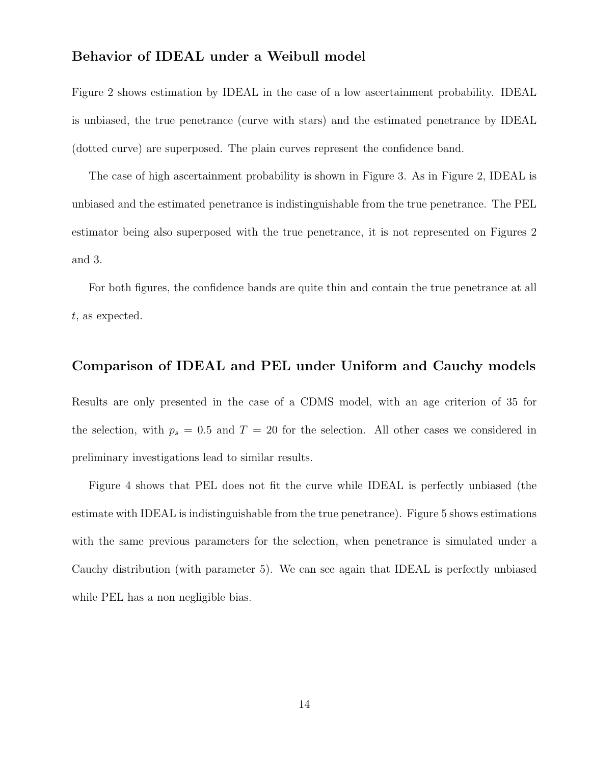#### **Behavior of IDEAL under a Weibull model**

Figure 2 shows estimation by IDEAL in the case of a low ascertainment probability. IDEAL is unbiased, the true penetrance (curve with stars) and the estimated penetrance by IDEAL (dotted curve) are superposed. The plain curves represent the confidence band.

The case of high ascertainment probability is shown in Figure 3. As in Figure 2, IDEAL is unbiased and the estimated penetrance is indistinguishable from the true penetrance. The PEL estimator being also superposed with the true penetrance, it is not represented on Figures 2 and 3.

For both figures, the confidence bands are quite thin and contain the true penetrance at all t, as expected.

#### **Comparison of IDEAL and PEL under Uniform and Cauchy models**

Results are only presented in the case of a CDMS model, with an age criterion of 35 for the selection, with  $p_s = 0.5$  and  $T = 20$  for the selection. All other cases we considered in preliminary investigations lead to similar results.

Figure 4 shows that PEL does not fit the curve while IDEAL is perfectly unbiased (the estimate with IDEAL is indistinguishable from the true penetrance). Figure 5 shows estimations with the same previous parameters for the selection, when penetrance is simulated under a Cauchy distribution (with parameter 5). We can see again that IDEAL is perfectly unbiased while PEL has a non negligible bias.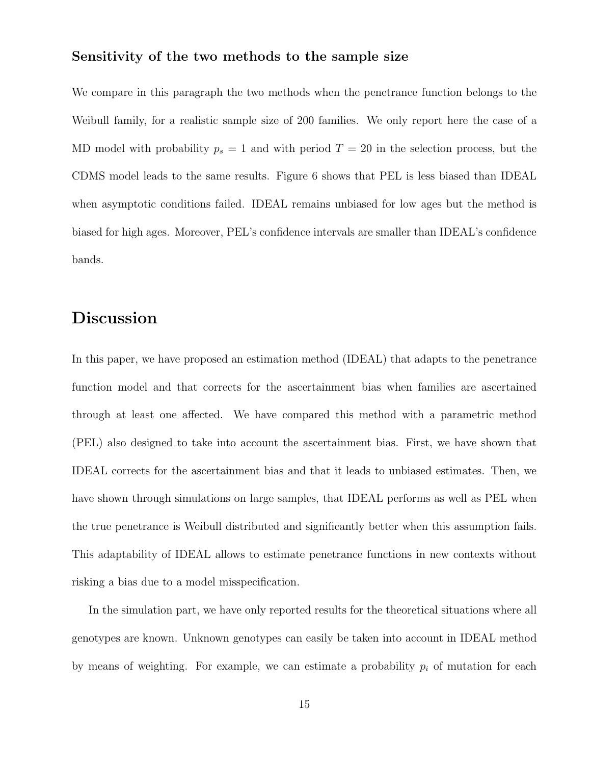#### **Sensitivity of the two methods to the sample size**

We compare in this paragraph the two methods when the penetrance function belongs to the Weibull family, for a realistic sample size of 200 families. We only report here the case of a MD model with probability  $p_s = 1$  and with period  $T = 20$  in the selection process, but the CDMS model leads to the same results. Figure 6 shows that PEL is less biased than IDEAL when asymptotic conditions failed. IDEAL remains unbiased for low ages but the method is biased for high ages. Moreover, PEL's confidence intervals are smaller than IDEAL's confidence bands.

### **Discussion**

In this paper, we have proposed an estimation method (IDEAL) that adapts to the penetrance function model and that corrects for the ascertainment bias when families are ascertained through at least one affected. We have compared this method with a parametric method (PEL) also designed to take into account the ascertainment bias. First, we have shown that IDEAL corrects for the ascertainment bias and that it leads to unbiased estimates. Then, we have shown through simulations on large samples, that IDEAL performs as well as PEL when the true penetrance is Weibull distributed and significantly better when this assumption fails. This adaptability of IDEAL allows to estimate penetrance functions in new contexts without risking a bias due to a model misspecification.

In the simulation part, we have only reported results for the theoretical situations where all genotypes are known. Unknown genotypes can easily be taken into account in IDEAL method by means of weighting. For example, we can estimate a probability  $p_i$  of mutation for each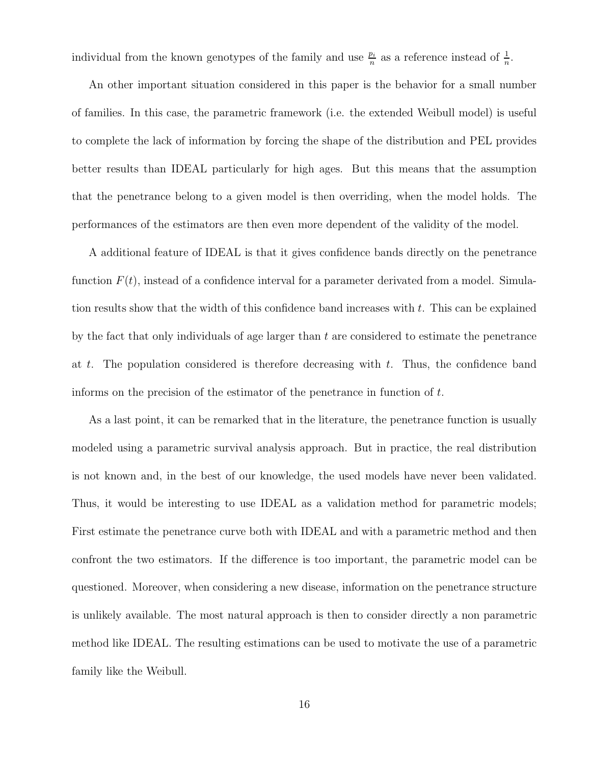individual from the known genotypes of the family and use  $\frac{p_i}{n}$  as a reference instead of  $\frac{1}{n}$ .

An other important situation considered in this paper is the behavior for a small number of families. In this case, the parametric framework (i.e. the extended Weibull model) is useful to complete the lack of information by forcing the shape of the distribution and PEL provides better results than IDEAL particularly for high ages. But this means that the assumption that the penetrance belong to a given model is then overriding, when the model holds. The performances of the estimators are then even more dependent of the validity of the model.

A additional feature of IDEAL is that it gives confidence bands directly on the penetrance function  $F(t)$ , instead of a confidence interval for a parameter derivated from a model. Simulation results show that the width of this confidence band increases with  $t$ . This can be explained by the fact that only individuals of age larger than  $t$  are considered to estimate the penetrance at t. The population considered is therefore decreasing with t. Thus, the confidence band informs on the precision of the estimator of the penetrance in function of  $t$ .

As a last point, it can be remarked that in the literature, the penetrance function is usually modeled using a parametric survival analysis approach. But in practice, the real distribution is not known and, in the best of our knowledge, the used models have never been validated. Thus, it would be interesting to use IDEAL as a validation method for parametric models; First estimate the penetrance curve both with IDEAL and with a parametric method and then confront the two estimators. If the difference is too important, the parametric model can be questioned. Moreover, when considering a new disease, information on the penetrance structure is unlikely available. The most natural approach is then to consider directly a non parametric method like IDEAL. The resulting estimations can be used to motivate the use of a parametric family like the Weibull.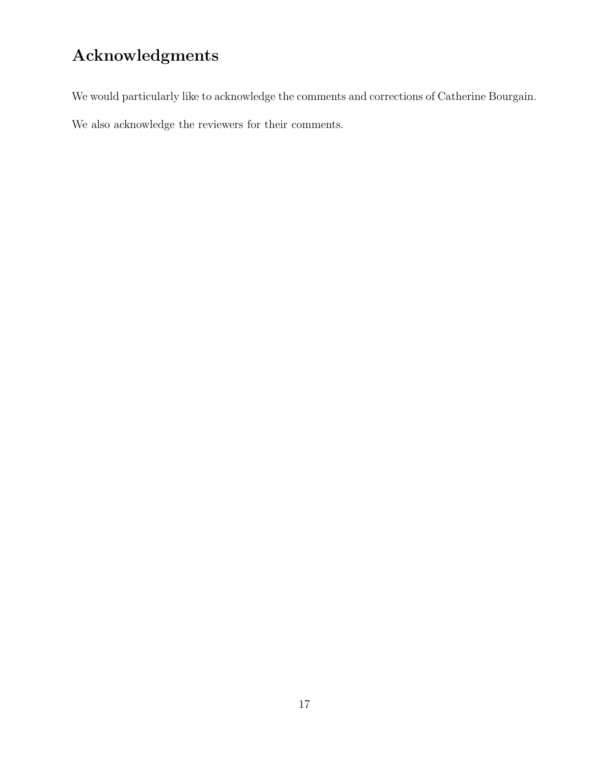# **Acknowledgments**

We would particularly like to acknowledge the comments and corrections of Catherine Bourgain.

We also acknowledge the reviewers for their comments.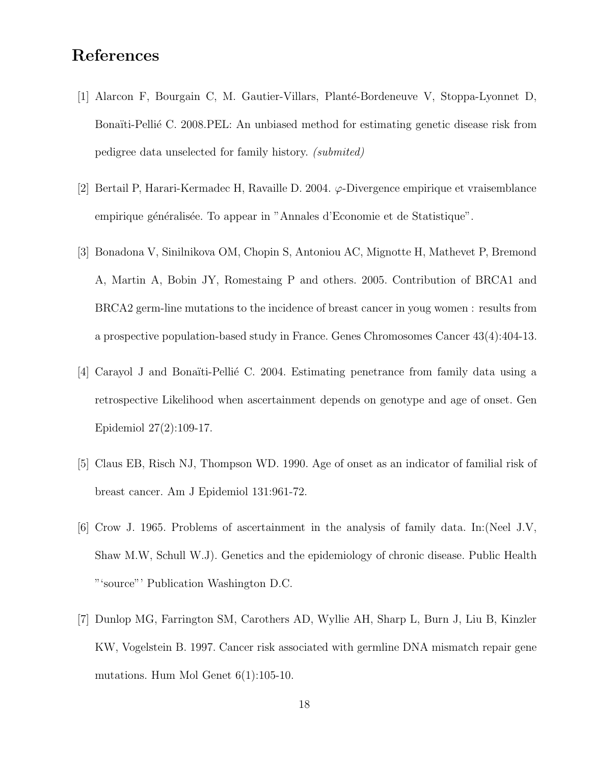### **References**

- [1] Alarcon F, Bourgain C, M. Gautier-Villars, Planté-Bordeneuve V, Stoppa-Lyonnet D, Bonaïti-Pellié C. 2008.PEL: An unbiased method for estimating genetic disease risk from pedigree data unselected for family history. *(submited)*
- [2] Bertail P, Harari-Kermadec H, Ravaille D. 2004. ϕ-Divergence empirique et vraisemblance empirique généralisée. To appear in "Annales d'Economie et de Statistique".
- [3] Bonadona V, Sinilnikova OM, Chopin S, Antoniou AC, Mignotte H, Mathevet P, Bremond A, Martin A, Bobin JY, Romestaing P and others. 2005. Contribution of BRCA1 and BRCA2 germ-line mutations to the incidence of breast cancer in youg women : results from a prospective population-based study in France. Genes Chromosomes Cancer 43(4):404-13.
- [4] Carayol J and Bonaïti-Pellié C. 2004. Estimating penetrance from family data using a retrospective Likelihood when ascertainment depends on genotype and age of onset. Gen Epidemiol 27(2):109-17.
- [5] Claus EB, Risch NJ, Thompson WD. 1990. Age of onset as an indicator of familial risk of breast cancer. Am J Epidemiol 131:961-72.
- [6] Crow J. 1965. Problems of ascertainment in the analysis of family data. In:(Neel J.V, Shaw M.W, Schull W.J). Genetics and the epidemiology of chronic disease. Public Health "'source"' Publication Washington D.C.
- [7] Dunlop MG, Farrington SM, Carothers AD, Wyllie AH, Sharp L, Burn J, Liu B, Kinzler KW, Vogelstein B. 1997. Cancer risk associated with germline DNA mismatch repair gene mutations. Hum Mol Genet 6(1):105-10.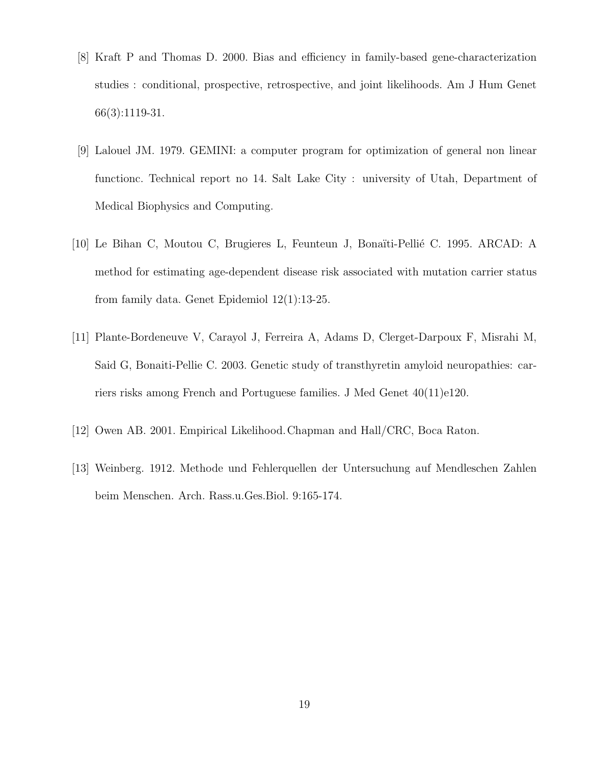- [8] Kraft P and Thomas D. 2000. Bias and efficiency in family-based gene-characterization studies : conditional, prospective, retrospective, and joint likelihoods. Am J Hum Genet 66(3):1119-31.
- [9] Lalouel JM. 1979. GEMINI: a computer program for optimization of general non linear functionc. Technical report no 14. Salt Lake City : university of Utah, Department of Medical Biophysics and Computing.
- [10] Le Bihan C, Moutou C, Brugieres L, Feunteun J, Bonaïti-Pellié C. 1995. ARCAD: A method for estimating age-dependent disease risk associated with mutation carrier status from family data. Genet Epidemiol 12(1):13-25.
- [11] Plante-Bordeneuve V, Carayol J, Ferreira A, Adams D, Clerget-Darpoux F, Misrahi M, Said G, Bonaiti-Pellie C. 2003. Genetic study of transthyretin amyloid neuropathies: carriers risks among French and Portuguese families. J Med Genet 40(11)e120.
- [12] Owen AB. 2001. Empirical Likelihood.Chapman and Hall/CRC, Boca Raton.
- [13] Weinberg. 1912. Methode und Fehlerquellen der Untersuchung auf Mendleschen Zahlen beim Menschen. Arch. Rass.u.Ges.Biol. 9:165-174.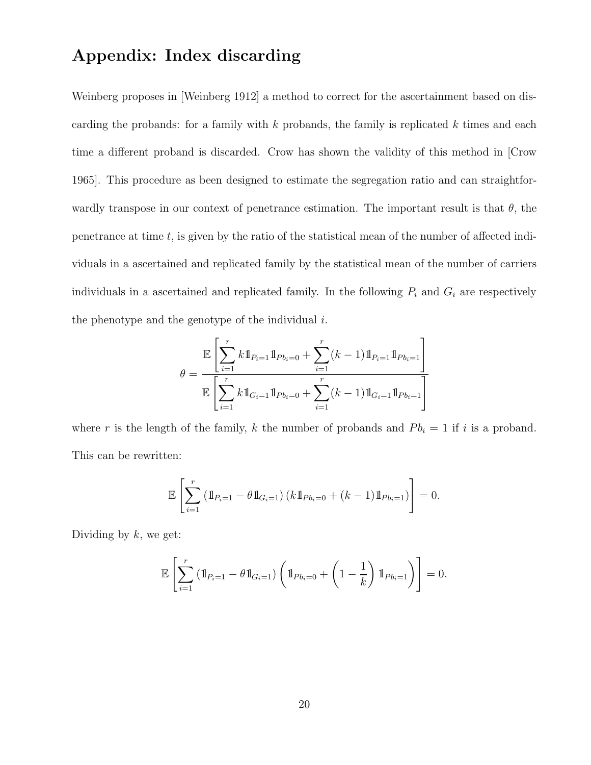### **Appendix: Index discarding**

Weinberg proposes in [Weinberg 1912] a method to correct for the ascertainment based on discarding the probands: for a family with  $k$  probands, the family is replicated  $k$  times and each time a different proband is discarded. Crow has shown the validity of this method in [Crow 1965]. This procedure as been designed to estimate the segregation ratio and can straightforwardly transpose in our context of penetrance estimation. The important result is that  $\theta$ , the penetrance at time  $t$ , is given by the ratio of the statistical mean of the number of affected individuals in a ascertained and replicated family by the statistical mean of the number of carriers individuals in a ascertained and replicated family. In the following  $P_i$  and  $G_i$  are respectively the phenotype and the genotype of the individual  $i$ .

$$
\theta = \frac{\mathbb{E}\left[\sum_{i=1}^{r} k \mathbb{1}_{P_i=1} \mathbb{1}_{Pb_i=0} + \sum_{i=1}^{r} (k-1) \mathbb{1}_{P_i=1} \mathbb{1}_{Pb_i=1}\right]}{\mathbb{E}\left[\sum_{i=1}^{r} k \mathbb{1}_{G_i=1} \mathbb{1}_{Pb_i=0} + \sum_{i=1}^{r} (k-1) \mathbb{1}_{G_i=1} \mathbb{1}_{Pb_i=1}\right]}
$$

where r is the length of the family, k the number of probands and  $P_{i} = 1$  if i is a proband. This can be rewritten:

$$
\mathbb{E}\left[\sum_{i=1}^r \left(\mathbb{1}_{P_{i}=1} - \theta \mathbb{1}_{G_i=1}\right) \left(k \mathbb{1}_{P_{b_i}=0} + (k-1) \mathbb{1}_{P_{b_i}=1}\right)\right] = 0.
$$

Dividing by  $k$ , we get:

$$
\mathbb{E}\left[\sum_{i=1}^r \left(\mathbb{1}_{P_{i}=1} - \theta \mathbb{1}_{G_i=1}\right) \left(\mathbb{1}_{Pb_i=0} + \left(1 - \frac{1}{k}\right) \mathbb{1}_{Pb_i=1}\right)\right] = 0.
$$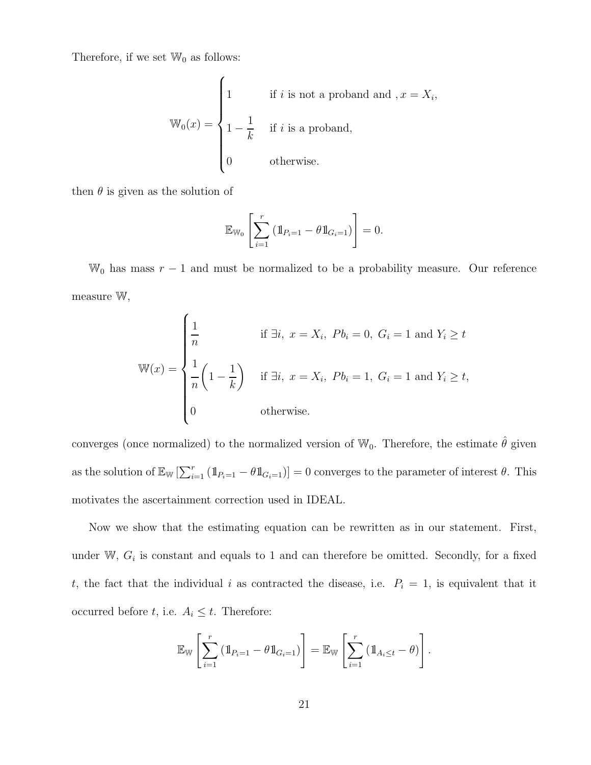Therefore, if we set  $\mathbb{W}_0$  as follows:

$$
\mathbb{W}_0(x) = \begin{cases} 1 & \text{if } i \text{ is not a proband and } x = X_i, \\ 1 - \frac{1}{k} & \text{if } i \text{ is a proband,} \\ 0 & \text{otherwise.} \end{cases}
$$

then  $\theta$  is given as the solution of

$$
\mathbb{E}_{\mathbb{W}_0} \left[ \sum_{i=1}^r \left( 1\!\!1_{P_i=1} - \theta 1\!\!1_{G_i=1} \right) \right] = 0.
$$

 $\mathbb{W}_0$  has mass  $r-1$  and must be normalized to be a probability measure. Our reference measure W,

$$
\mathbb{W}(x) = \begin{cases} \frac{1}{n} & \text{if } \exists i, \ x = X_i, \ Pb_i = 0, \ G_i = 1 \text{ and } Y_i \ge t \\ \frac{1}{n} \left( 1 - \frac{1}{k} \right) & \text{if } \exists i, \ x = X_i, \ Pb_i = 1, \ G_i = 1 \text{ and } Y_i \ge t, \\ 0 & \text{otherwise.} \end{cases}
$$

converges (once normalized) to the normalized version of  $\mathbb{W}_0$ . Therefore, the estimate  $\hat{\theta}$  given as the solution of  $\mathbb{E}_{\mathbb{W}}\left[\sum_{i=1}^r (\mathbb{1}_{P_i=1} - \theta \mathbb{1}_{G_i=1})\right] = 0$  converges to the parameter of interest  $\theta$ . This motivates the ascertainment correction used in IDEAL.

Now we show that the estimating equation can be rewritten as in our statement. First, under W,  $G_i$  is constant and equals to 1 and can therefore be omitted. Secondly, for a fixed t, the fact that the individual i as contracted the disease, i.e.  $P_i = 1$ , is equivalent that it occurred before t, i.e.  $A_i \leq t$ . Therefore:

$$
\mathbb{E}_{\mathbb{W}}\left[\sum_{i=1}^r \left(\mathbb{1}_{P_{i}=1} - \theta \mathbb{1}_{G_i=1}\right)\right] = \mathbb{E}_{\mathbb{W}}\left[\sum_{i=1}^r \left(\mathbb{1}_{A_i \leq t} - \theta\right)\right].
$$